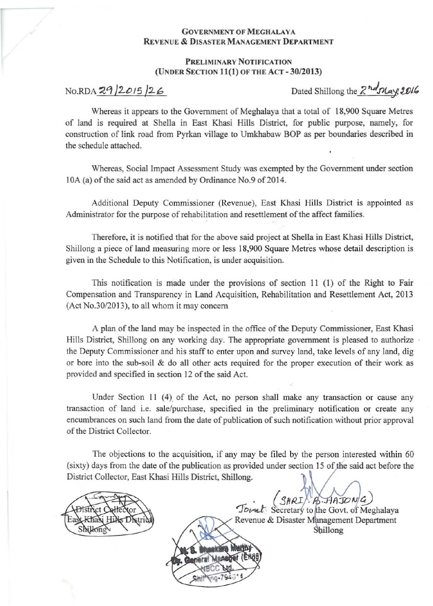## **GOVERNMENT OF MEGHALAYA** <u>Revenue & Disaster Management Department</u>

## PRELIMINARY NOTIFICATION (UNDER SECTION 11(1) OF THE ACT - 30/2013)

No. RDA  $29/2015/26$  Dated Shillong the  $2<sup>n</sup>d<sub>MR</sub>$ ,  $2016$ 

Whereas it appears to the Government of Meghalaya that a total of 18,900 Square Metres of land is required at Shella in East Khasi Hills District, for public purpose, namely, for construction of link road from Pyrkan village to Umkhabaw BOP as per boundaries described in the schedule attached.

Whereas, Social Impact Assessment Study was exempted by the Government under section 10A (a) of the said act as amended by Ordinance No.9 of 2014.

Additional Deputy Commissioner (Revenue), East Khasi Hills District is appointed as Administrator for the purpose of rehabilitation and resettlement of the affect families.

Therefore, it is notified that for the above said project at Shella in East Khasi Hills District, Shillong a piece of land measuring more or less 18,900 Square Metres whose detail description is given in the Schedule to this Notification, is under acquisition.

This notification is made under the provisions of section 11 (1) of the Right to Fair Compensation and Transparency in Land Acquisition, Rehabilitation and Resettlement Act, 2013  $($ Act No.30 $/2013$ ), to all whom it may concern

A plan of the land may be inspected in the office of the Deputy Commissioner, East Khasi Hills District, Shillong on any working day. The appropriate government is pleased to authorize the Deputy Commissioner and his staff to enter upon and survey land, take levels of any land, dig or bore into the sub-soil & do all other acts required for the proper execution of their work as provided and specified in section 12 of the said Act.

Under Section 11  $(4)$  of the Act, no person shall make any transaction or cause any transaction of land i.e. sale/purchase, specified in the preliminary notification or create any encumbrances on such land from the date of publication of such notification without prior approval ofthe District Collector.

The objections to the acquisition, if any may be filed by the person interested within 60 (sixty) days from the date of the publication as provided under section 15 of the said act before the District Collector, East Khasi Hills District, Shillong.

. *(SHRI)* A. HAJO. Jovul: Secretary to the Govt. of Meghalaya Revenue & Disaster Management Department Shillong